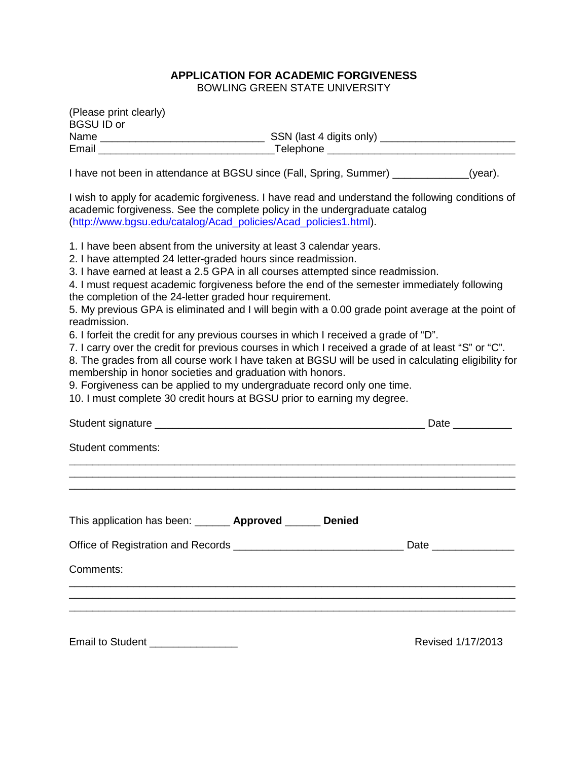# **APPLICATION FOR ACADEMIC FORGIVENESS**

BOWLING GREEN STATE UNIVERSITY

| (Please print clearly)<br><b>BGSU ID or</b>                                                                                                                                                                                                                                                                                                                                                                                                                                                                                                                                                                                                                                                                                                                                                                                                                                                                                                                                                                                       |  |  |                       |
|-----------------------------------------------------------------------------------------------------------------------------------------------------------------------------------------------------------------------------------------------------------------------------------------------------------------------------------------------------------------------------------------------------------------------------------------------------------------------------------------------------------------------------------------------------------------------------------------------------------------------------------------------------------------------------------------------------------------------------------------------------------------------------------------------------------------------------------------------------------------------------------------------------------------------------------------------------------------------------------------------------------------------------------|--|--|-----------------------|
|                                                                                                                                                                                                                                                                                                                                                                                                                                                                                                                                                                                                                                                                                                                                                                                                                                                                                                                                                                                                                                   |  |  |                       |
| I have not been in attendance at BGSU since (Fall, Spring, Summer) ____________(year).                                                                                                                                                                                                                                                                                                                                                                                                                                                                                                                                                                                                                                                                                                                                                                                                                                                                                                                                            |  |  |                       |
| I wish to apply for academic forgiveness. I have read and understand the following conditions of<br>academic forgiveness. See the complete policy in the undergraduate catalog<br>(http://www.bgsu.edu/catalog/Acad policies/Acad policies1.html).                                                                                                                                                                                                                                                                                                                                                                                                                                                                                                                                                                                                                                                                                                                                                                                |  |  |                       |
| 1. I have been absent from the university at least 3 calendar years.<br>2. I have attempted 24 letter-graded hours since readmission.<br>3. I have earned at least a 2.5 GPA in all courses attempted since readmission.<br>4. I must request academic forgiveness before the end of the semester immediately following<br>the completion of the 24-letter graded hour requirement.<br>5. My previous GPA is eliminated and I will begin with a 0.00 grade point average at the point of<br>readmission.<br>6. I forfeit the credit for any previous courses in which I received a grade of "D".<br>7. I carry over the credit for previous courses in which I received a grade of at least "S" or "C".<br>8. The grades from all course work I have taken at BGSU will be used in calculating eligibility for<br>membership in honor societies and graduation with honors.<br>9. Forgiveness can be applied to my undergraduate record only one time.<br>10. I must complete 30 credit hours at BGSU prior to earning my degree. |  |  |                       |
|                                                                                                                                                                                                                                                                                                                                                                                                                                                                                                                                                                                                                                                                                                                                                                                                                                                                                                                                                                                                                                   |  |  |                       |
| Student comments:                                                                                                                                                                                                                                                                                                                                                                                                                                                                                                                                                                                                                                                                                                                                                                                                                                                                                                                                                                                                                 |  |  |                       |
| This application has been: _______ Approved ______ Denied                                                                                                                                                                                                                                                                                                                                                                                                                                                                                                                                                                                                                                                                                                                                                                                                                                                                                                                                                                         |  |  | Date ________________ |
|                                                                                                                                                                                                                                                                                                                                                                                                                                                                                                                                                                                                                                                                                                                                                                                                                                                                                                                                                                                                                                   |  |  |                       |
| Comments:                                                                                                                                                                                                                                                                                                                                                                                                                                                                                                                                                                                                                                                                                                                                                                                                                                                                                                                                                                                                                         |  |  |                       |
|                                                                                                                                                                                                                                                                                                                                                                                                                                                                                                                                                                                                                                                                                                                                                                                                                                                                                                                                                                                                                                   |  |  |                       |
|                                                                                                                                                                                                                                                                                                                                                                                                                                                                                                                                                                                                                                                                                                                                                                                                                                                                                                                                                                                                                                   |  |  |                       |
|                                                                                                                                                                                                                                                                                                                                                                                                                                                                                                                                                                                                                                                                                                                                                                                                                                                                                                                                                                                                                                   |  |  |                       |

Email to Student \_\_\_\_\_\_\_\_\_\_\_\_\_\_\_ Revised 1/17/2013